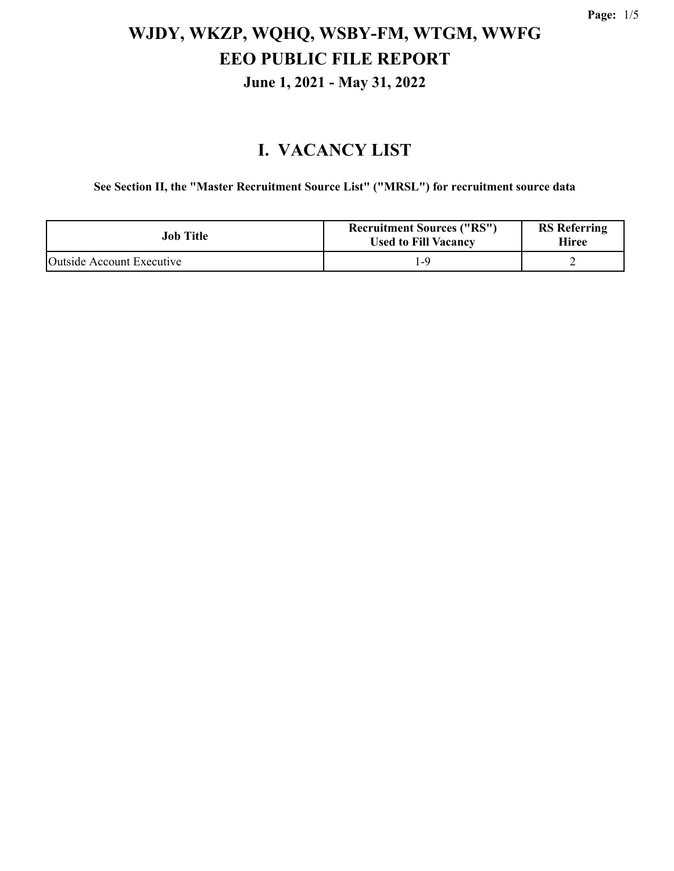### **I. VACANCY LIST**

**See Section II, the "Master Recruitment Source List" ("MRSL") for recruitment source data**

| Job Title                 | <b>Recruitment Sources ("RS")</b><br><b>Used to Fill Vacancy</b> | <b>RS</b> Referring<br>Hiree |
|---------------------------|------------------------------------------------------------------|------------------------------|
| Outside Account Executive |                                                                  |                              |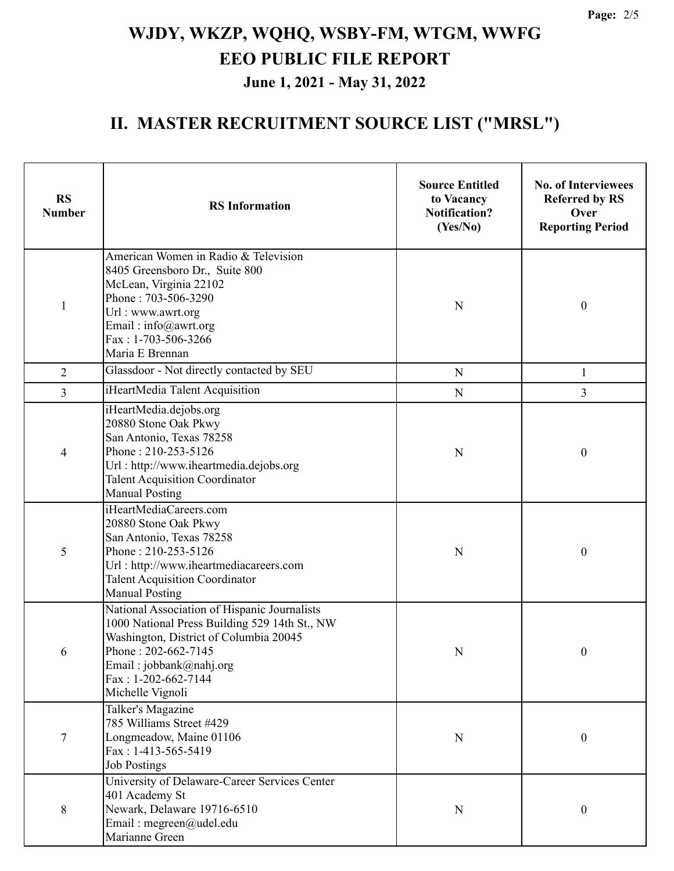### **II. MASTER RECRUITMENT SOURCE LIST ("MRSL")**

| <b>RS</b><br><b>Number</b> | <b>RS</b> Information                                                                                                                                                                                                                       | <b>Source Entitled</b><br>to Vacancy<br><b>Notification?</b><br>(Yes/No) | <b>No. of Interviewees</b><br><b>Referred by RS</b><br>Over<br><b>Reporting Period</b> |
|----------------------------|---------------------------------------------------------------------------------------------------------------------------------------------------------------------------------------------------------------------------------------------|--------------------------------------------------------------------------|----------------------------------------------------------------------------------------|
| $\mathbf{1}$               | American Women in Radio & Television<br>8405 Greensboro Dr., Suite 800<br>McLean, Virginia 22102<br>Phone: 703-506-3290<br>Url: www.awrt.org<br>Email: info@awrt.org<br>Fax: 1-703-506-3266<br>Maria E Brennan                              | N                                                                        | $\boldsymbol{0}$                                                                       |
| $\overline{2}$             | Glassdoor - Not directly contacted by SEU                                                                                                                                                                                                   | $\mathbf N$                                                              | $\mathbf{1}$                                                                           |
| $\overline{3}$             | iHeartMedia Talent Acquisition                                                                                                                                                                                                              | ${\bf N}$                                                                | $\overline{3}$                                                                         |
| 4                          | iHeartMedia.dejobs.org<br>20880 Stone Oak Pkwy<br>San Antonio, Texas 78258<br>Phone: 210-253-5126<br>Url: http://www.iheartmedia.dejobs.org<br><b>Talent Acquisition Coordinator</b><br><b>Manual Posting</b>                               | N                                                                        | $\boldsymbol{0}$                                                                       |
| 5                          | iHeartMediaCareers.com<br>20880 Stone Oak Pkwy<br>San Antonio, Texas 78258<br>Phone: 210-253-5126<br>Url: http://www.iheartmediacareers.com<br><b>Talent Acquisition Coordinator</b><br><b>Manual Posting</b>                               | N                                                                        | $\mathbf{0}$                                                                           |
| 6                          | National Association of Hispanic Journalists<br>1000 National Press Building 529 14th St., NW<br>Washington, District of Columbia 20045<br>Phone: 202-662-7145<br>N<br>Email: jobbank@nahj.org<br>$Fax: 1-202-662-7144$<br>Michelle Vignoli |                                                                          | $\boldsymbol{0}$                                                                       |
| $\tau$                     | Talker's Magazine<br>785 Williams Street #429<br>Longmeadow, Maine 01106<br>Fax: 1-413-565-5419<br><b>Job Postings</b>                                                                                                                      | N                                                                        | $\overline{0}$                                                                         |
| 8                          | University of Delaware-Career Services Center<br>401 Academy St<br>Newark, Delaware 19716-6510<br>Email: megreen@udel.edu<br>Marianne Green                                                                                                 | N                                                                        | $\mathbf{0}$                                                                           |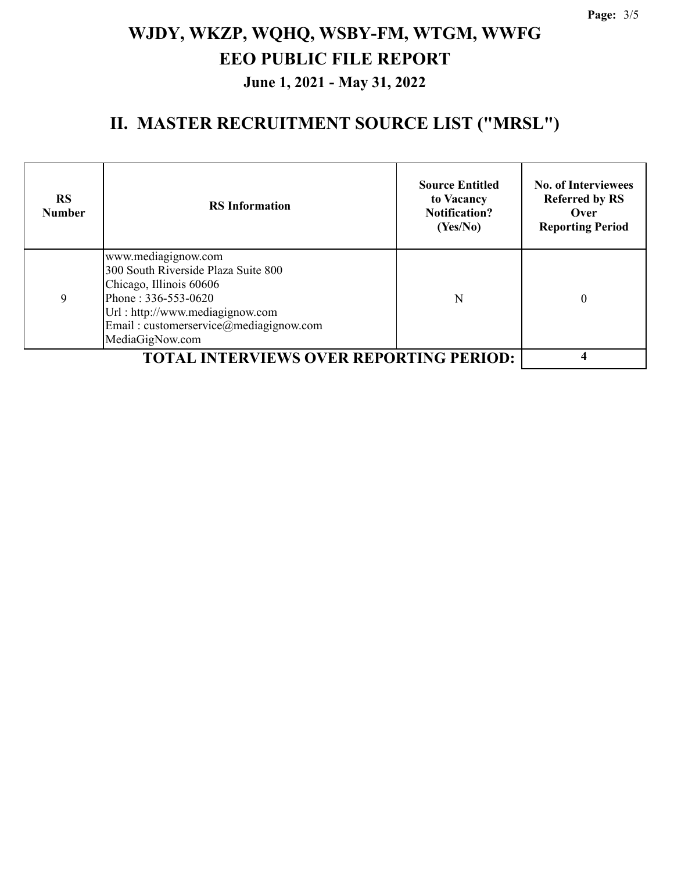### **II. MASTER RECRUITMENT SOURCE LIST ("MRSL")**

| <b>RS</b><br><b>Number</b> | <b>RS</b> Information                                                                                                                                                                                        | <b>Source Entitled</b><br>to Vacancy<br><b>Notification?</b><br>(Yes/No) | <b>No. of Interviewees</b><br><b>Referred by RS</b><br>Over<br><b>Reporting Period</b> |
|----------------------------|--------------------------------------------------------------------------------------------------------------------------------------------------------------------------------------------------------------|--------------------------------------------------------------------------|----------------------------------------------------------------------------------------|
| 9                          | www.mediagignow.com<br>300 South Riverside Plaza Suite 800<br>Chicago, Illinois 60606<br>Phone: 336-553-0620<br>Url: http://www.mediagignow.com<br>Email: customerservice@mediagignow.com<br>MediaGigNow.com | N                                                                        | 0                                                                                      |
|                            |                                                                                                                                                                                                              |                                                                          |                                                                                        |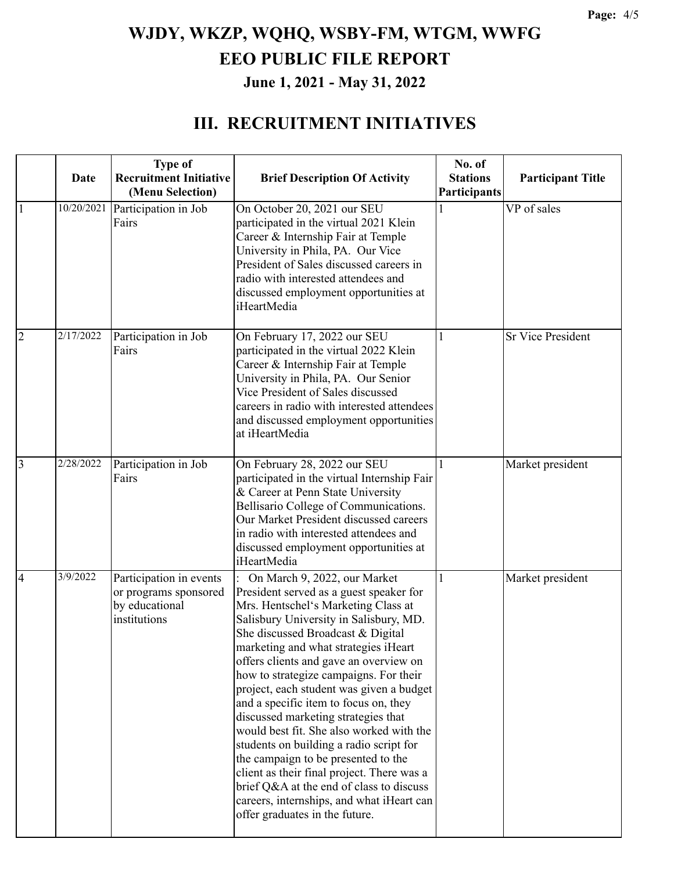#### **III. RECRUITMENT INITIATIVES**

|                          | <b>Date</b> | <b>Type of</b><br><b>Recruitment Initiative</b>                                    | <b>Brief Description Of Activity</b>                                                                                                                                                                                                                                                                                                                                                                                                                                                                                                                                                                                                                                                                                                                         | No. of<br><b>Stations</b> | <b>Participant Title</b> |
|--------------------------|-------------|------------------------------------------------------------------------------------|--------------------------------------------------------------------------------------------------------------------------------------------------------------------------------------------------------------------------------------------------------------------------------------------------------------------------------------------------------------------------------------------------------------------------------------------------------------------------------------------------------------------------------------------------------------------------------------------------------------------------------------------------------------------------------------------------------------------------------------------------------------|---------------------------|--------------------------|
|                          |             | (Menu Selection)                                                                   |                                                                                                                                                                                                                                                                                                                                                                                                                                                                                                                                                                                                                                                                                                                                                              | Participants              |                          |
| 1                        | 10/20/2021  | Participation in Job<br>Fairs                                                      | On October 20, 2021 our SEU<br>participated in the virtual 2021 Klein<br>Career & Internship Fair at Temple<br>University in Phila, PA. Our Vice<br>President of Sales discussed careers in<br>radio with interested attendees and<br>discussed employment opportunities at<br>iHeartMedia                                                                                                                                                                                                                                                                                                                                                                                                                                                                   |                           | VP of sales              |
| $\overline{2}$           | 2/17/2022   | Participation in Job<br>Fairs                                                      | On February 17, 2022 our SEU<br>participated in the virtual 2022 Klein<br>Career & Internship Fair at Temple<br>University in Phila, PA. Our Senior<br>Vice President of Sales discussed<br>careers in radio with interested attendees<br>and discussed employment opportunities<br>at iHeartMedia                                                                                                                                                                                                                                                                                                                                                                                                                                                           |                           | <b>Sr Vice President</b> |
| $\overline{3}$           | 2/28/2022   | Participation in Job<br>Fairs                                                      | On February 28, 2022 our SEU<br>participated in the virtual Internship Fair<br>& Career at Penn State University<br>Bellisario College of Communications.<br>Our Market President discussed careers<br>in radio with interested attendees and<br>discussed employment opportunities at<br>iHeartMedia                                                                                                                                                                                                                                                                                                                                                                                                                                                        |                           | Market president         |
| $\overline{\mathcal{A}}$ | 3/9/2022    | Participation in events<br>or programs sponsored<br>by educational<br>institutions | On March 9, 2022, our Market<br>President served as a guest speaker for<br>Mrs. Hentschel's Marketing Class at<br>Salisbury University in Salisbury, MD.<br>She discussed Broadcast & Digital<br>marketing and what strategies iHeart<br>offers clients and gave an overview on<br>how to strategize campaigns. For their<br>project, each student was given a budget<br>and a specific item to focus on, they<br>discussed marketing strategies that<br>would best fit. She also worked with the<br>students on building a radio script for<br>the campaign to be presented to the<br>client as their final project. There was a<br>brief Q&A at the end of class to discuss<br>careers, internships, and what iHeart can<br>offer graduates in the future. | 1                         | Market president         |